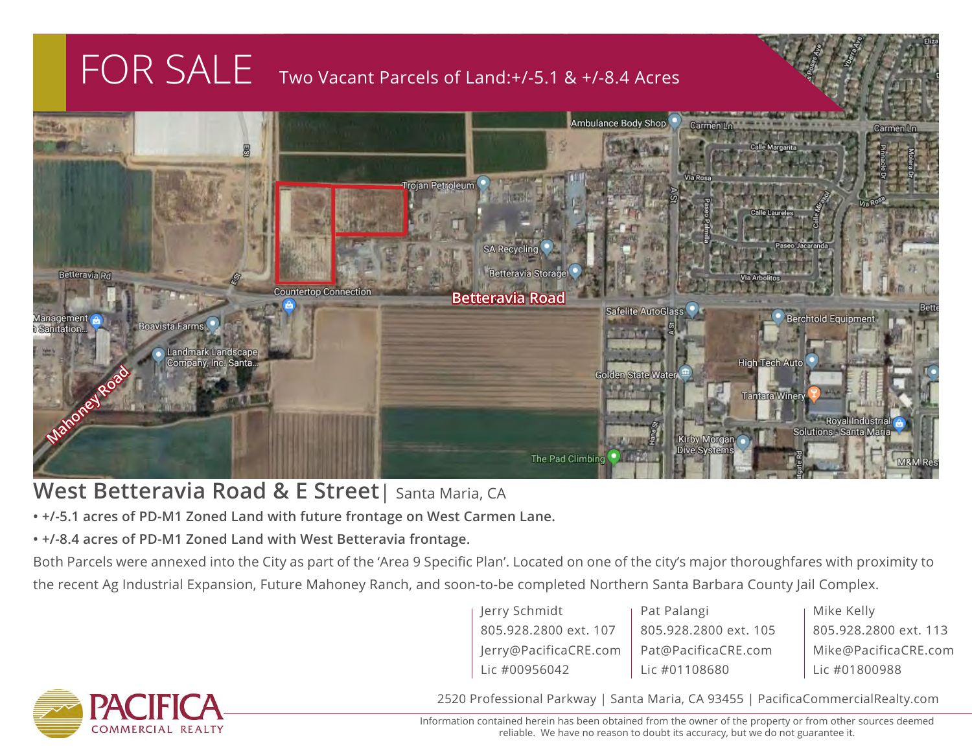## FOR SALE Two Vacant Parcels of Land:+/-5.1 & +/-8.4 Acres



## **West Betteravia Road & E Street**| Santa Maria, CA

- **+/-5.1 acres of PD-M1 Zoned Land with future frontage on West Carmen Lane.**
- **+/-8.4 acres of PD-M1 Zoned Land with West Betteravia frontage.**

Both Parcels were annexed into the City as part of the 'Area 9 Specific Plan'. Located on one of the city's major thoroughfares with proximity to the recent Ag Industrial Expansion, Future Mahoney Ranch, and soon-to-be completed Northern Santa Barbara County Jail Complex.

> Jerry Schmidt 805.928.2800 ext. 107 Jerry@PacificaCRE.com Lic #00956042

Pat Palangi 805.928.2800 ext. 105 Pat@PacificaCRE.com Lic #01108680

Mike Kelly 805.928.2800 ext. 113 Mike@PacificaCRE.com Lic #01800988



2520 Professional Parkway | Santa Maria, CA 93455 | PacificaCommercialRealty.com

Information contained herein has been obtained from the owner of the property or from other sources deemed reliable. We have no reason to doubt its accuracy, but we do not guarantee it.